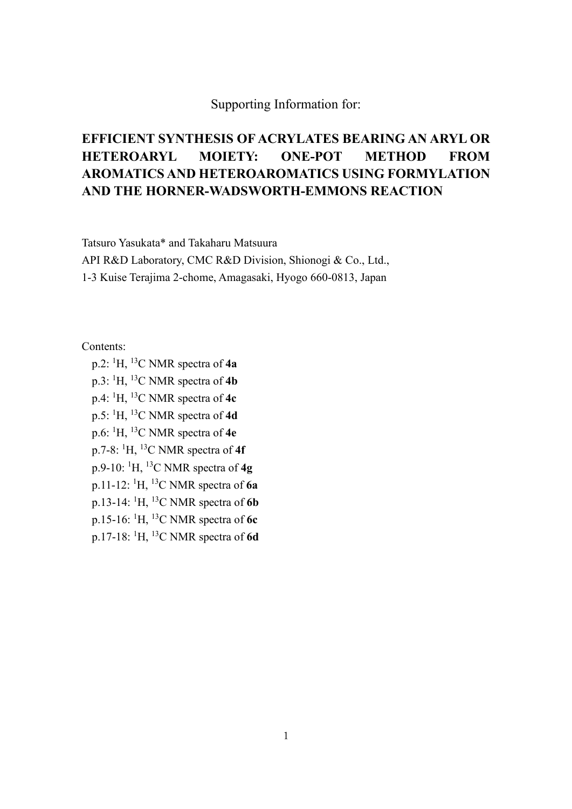## Supporting Information for:

## **EFFICIENT SYNTHESIS OF ACRYLATES BEARING AN ARYL OR HETEROARYL MOIETY: ONE-POT METHOD FROM AROMATICS AND HETEROAROMATICS USING FORMYLATION AND THE HORNER-WADSWORTH-EMMONS REACTION**

Tatsuro Yasukata\* and Takaharu Matsuura

API R&D Laboratory, CMC R&D Division, Shionogi & Co., Ltd.,

1-3 Kuise Terajima 2-chome, Amagasaki, Hyogo 660-0813, Japan

Contents:

p.2: 1 H, 13C NMR spectra of **4a** p.3: <sup>1</sup> H, 13C NMR spectra of **4b** p.4: <sup>1</sup> H, 13C NMR spectra of **4c** p.5: <sup>1</sup> H, 13C NMR spectra of **4d** p.6: <sup>1</sup> H, 13C NMR spectra of **4e** p.7-8: <sup>1</sup> H, 13C NMR spectra of **4f** p.9-10: 1 H, 13C NMR spectra of **4g** p.11-12: 1 H, 13C NMR spectra of **6a** p.13-14: 1 H, 13C NMR spectra of **6b** p.15-16: 1 H, 13C NMR spectra of **6c** p.17-18: 1 H, 13C NMR spectra of **6d**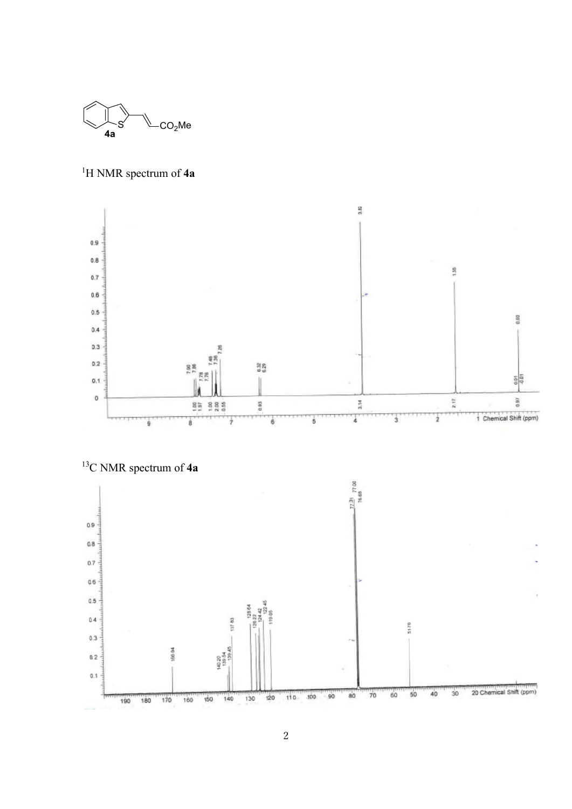

1 H NMR spectrum of **4a**





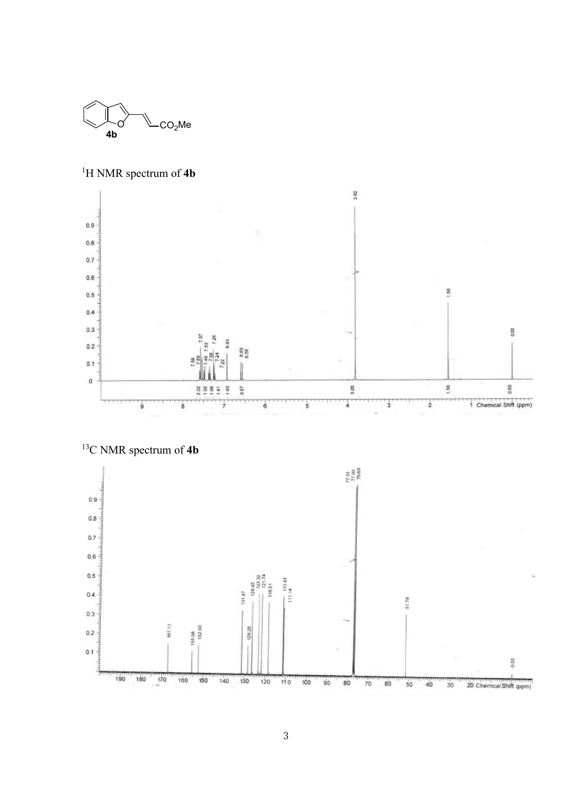

1 H NMR spectrum of **4b**



13 C NMR spectrum of **4b**

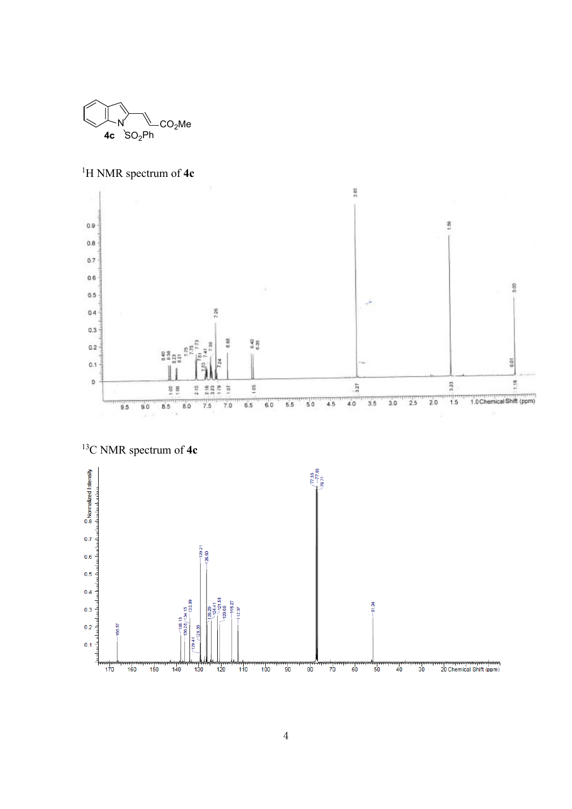

1 H NMR spectrum of **4c**





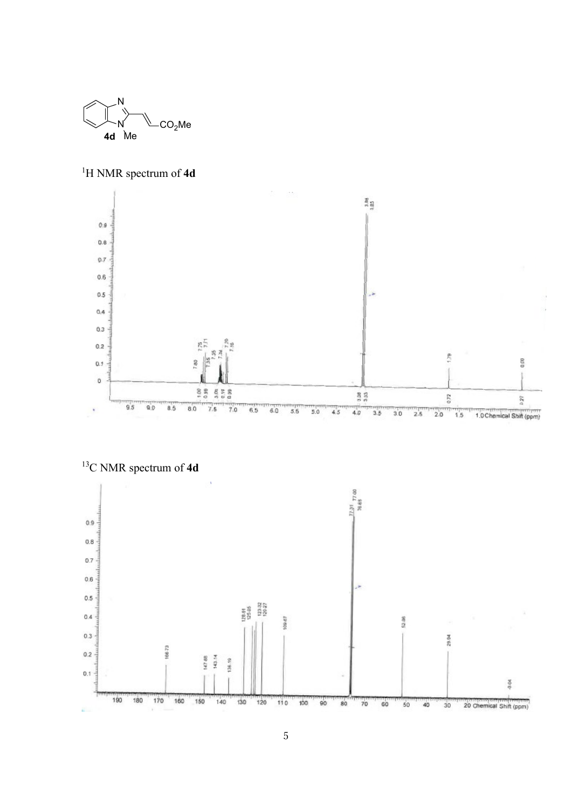

1 H NMR spectrum of **4d**



13 C NMR spectrum of **4d**

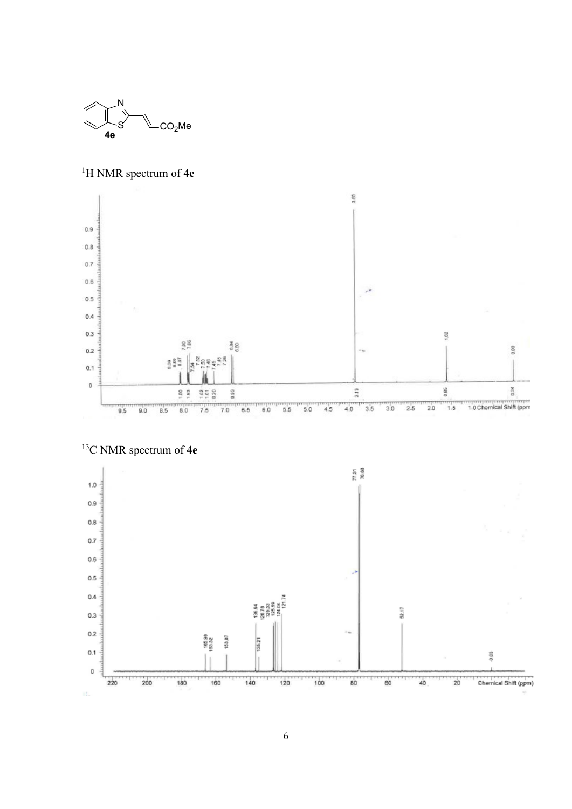

1 H NMR spectrum of **4e**





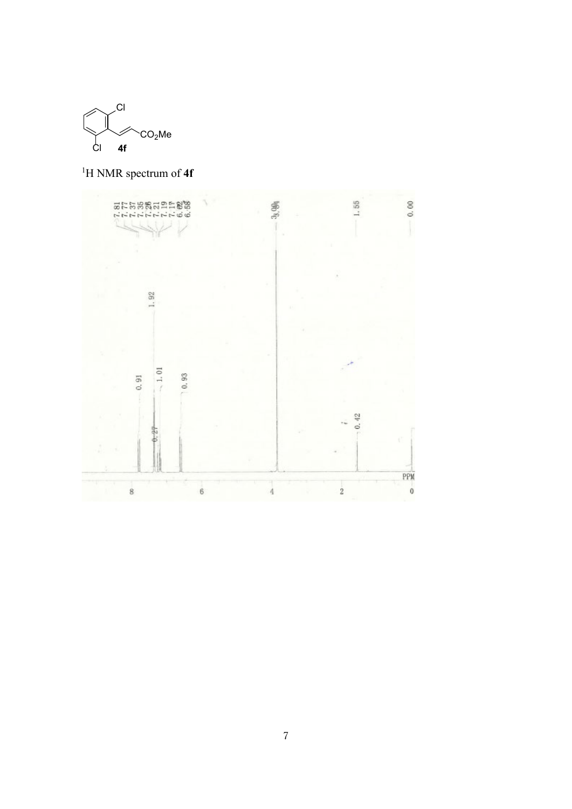

1 H NMR spectrum of **4f**

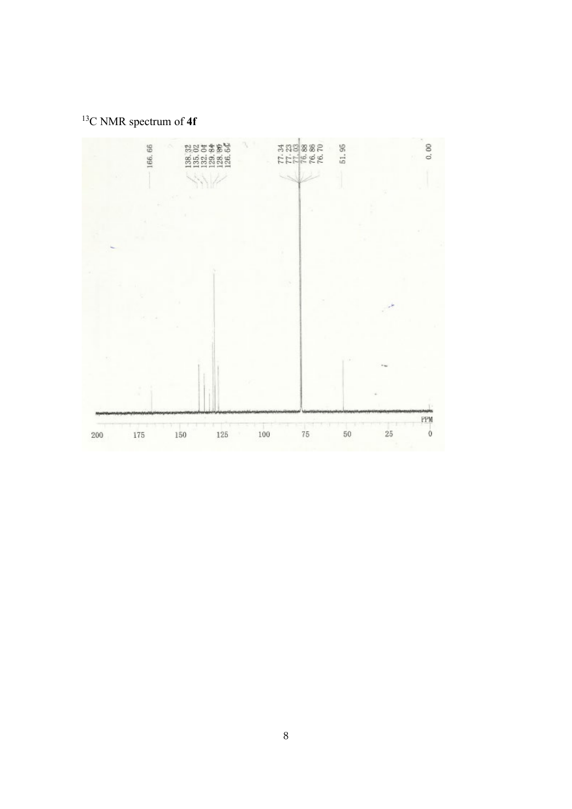C NMR spectrum of **4f**

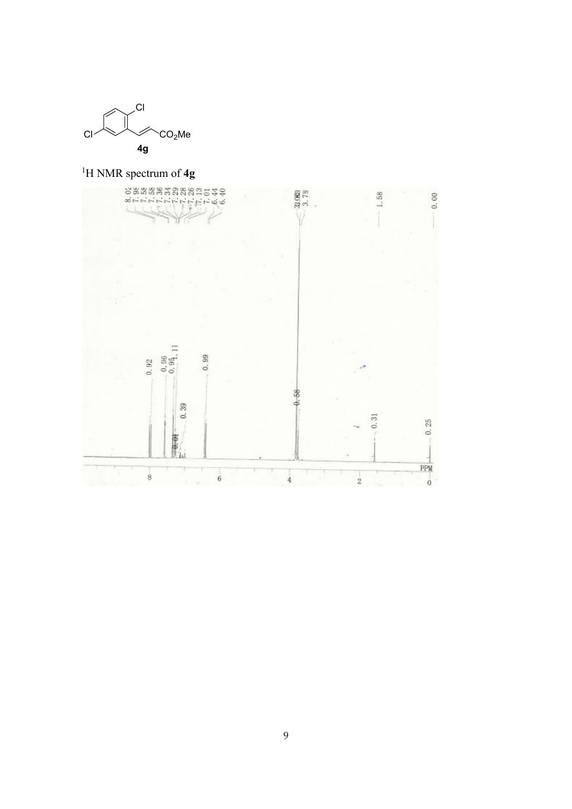

1 H NMR spectrum of **4g**

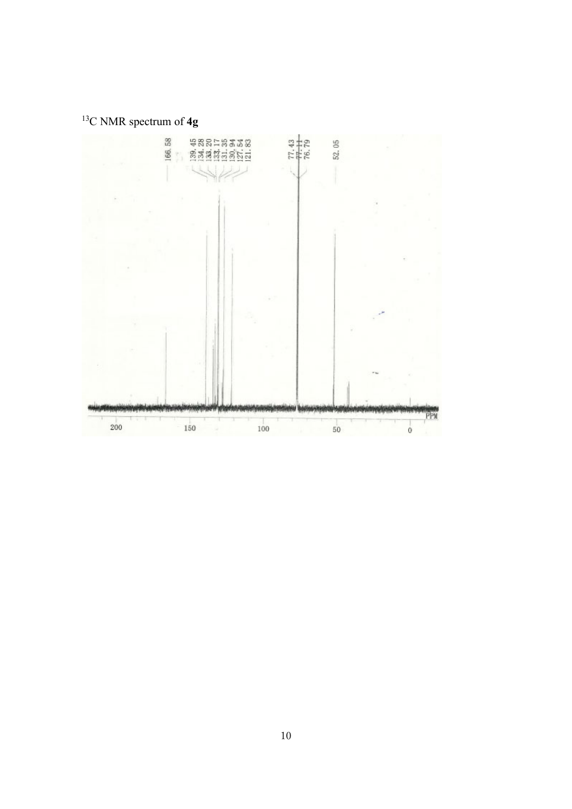C NMR spectrum of **4g**

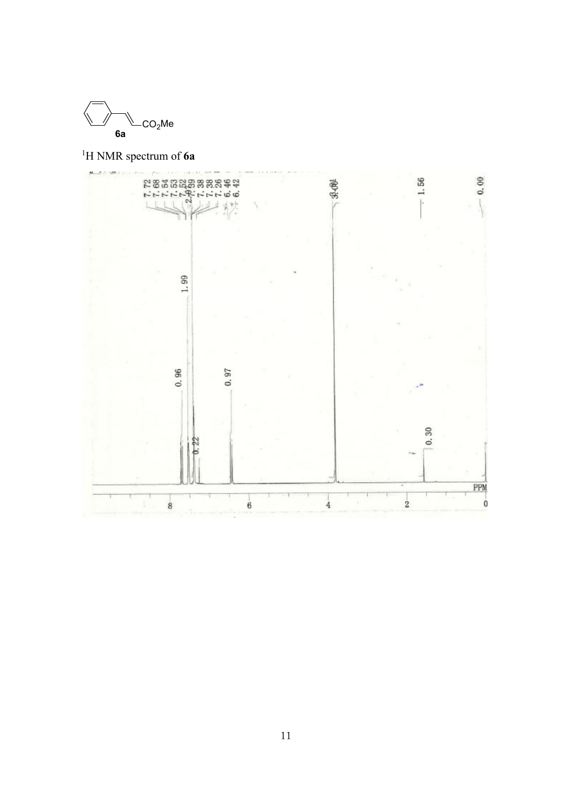

1 H NMR spectrum of **6a**

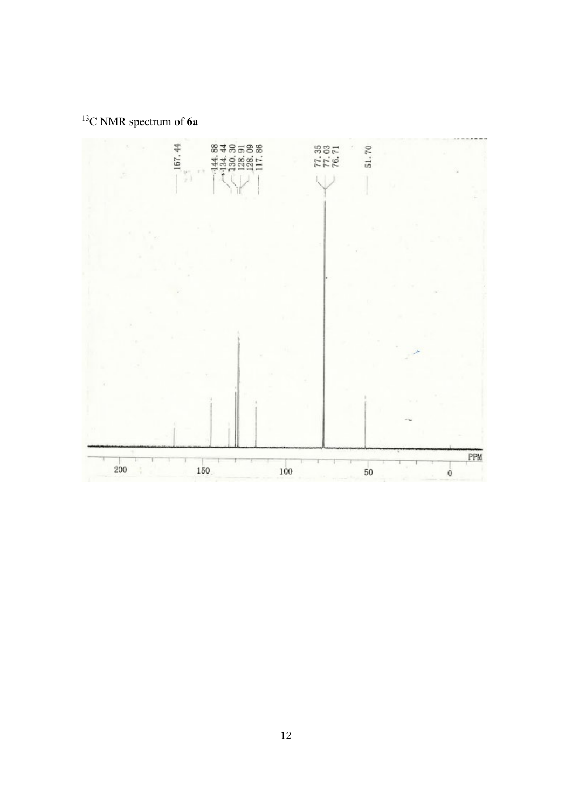C NMR spectrum of **6a**

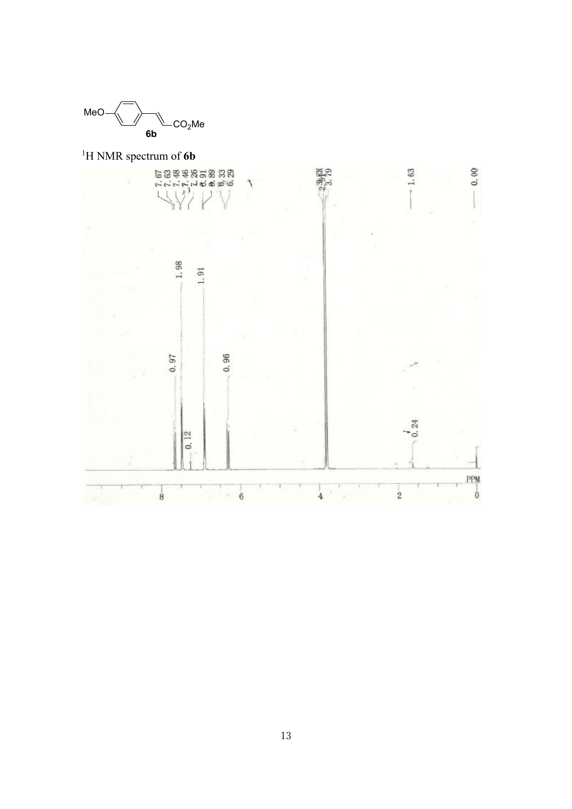

1 H NMR spectrum of **6b**

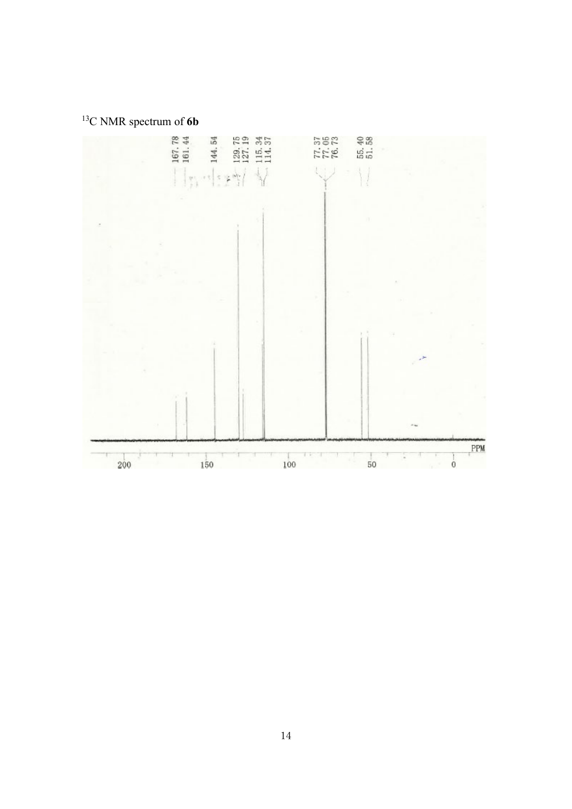C NMR spectrum of **6b**

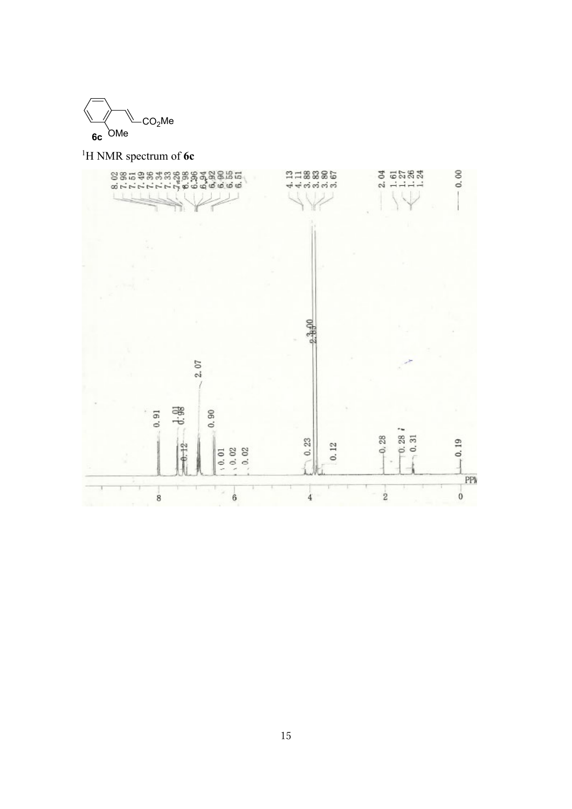

1 H NMR spectrum of **6c**

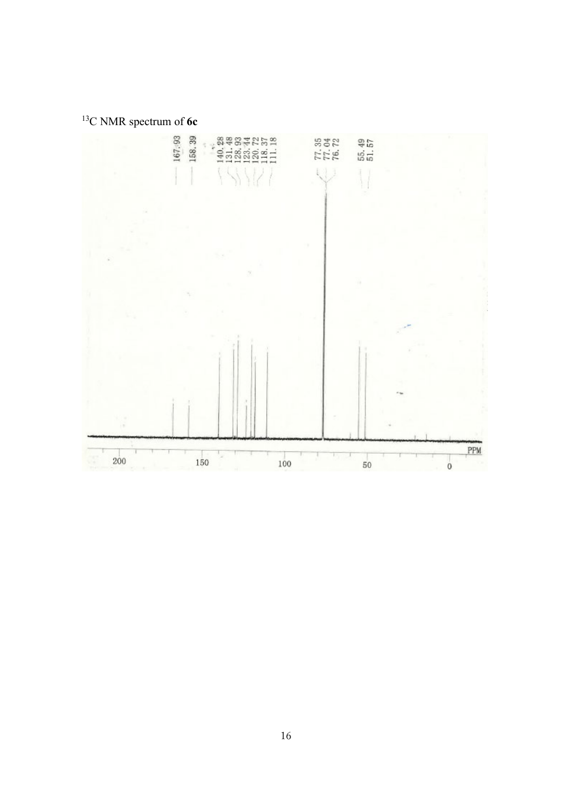

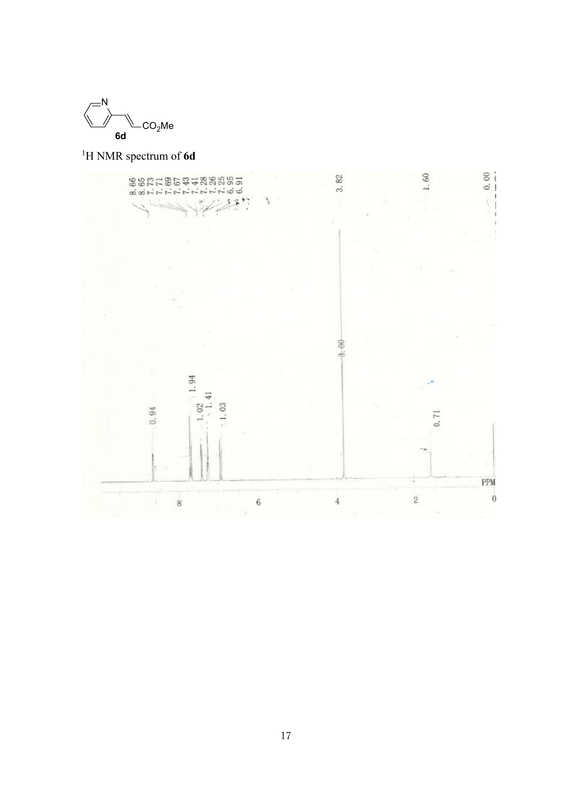

1 H NMR spectrum of **6d**